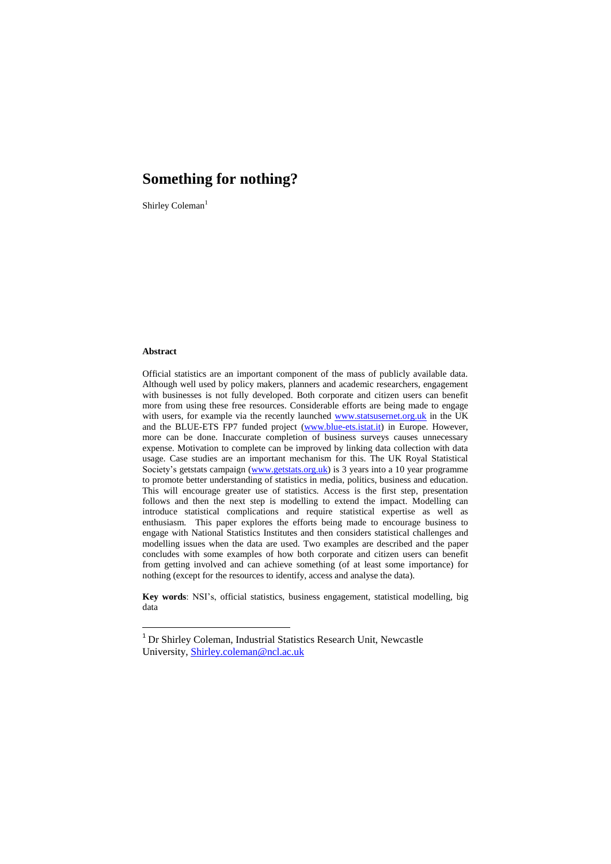Shirley Coleman<sup>1</sup>

#### **Abstract**

1

Official statistics are an important component of the mass of publicly available data. Although well used by policy makers, planners and academic researchers, engagement with businesses is not fully developed. Both corporate and citizen users can benefit more from using these free resources. Considerable efforts are being made to engage with users, for example via the recently launched [www.statsusernet.org.uk](http://www.statsusernet.org.uk/) in the UK and the BLUE-ETS FP7 funded project [\(www.blue-ets.istat.it\)](http://www.blue-ets.istat.it/) in Europe. However, more can be done. Inaccurate completion of business surveys causes unnecessary expense. Motivation to complete can be improved by linking data collection with data usage. Case studies are an important mechanism for this. The UK Royal Statistical Society"s getstats campaign [\(www.getstats.org.uk\)](http://www.getstats.org.uk/) is 3 years into a 10 year programme to promote better understanding of statistics in media, politics, business and education. This will encourage greater use of statistics. Access is the first step, presentation follows and then the next step is modelling to extend the impact. Modelling can introduce statistical complications and require statistical expertise as well as enthusiasm. This paper explores the efforts being made to encourage business to engage with National Statistics Institutes and then considers statistical challenges and modelling issues when the data are used. Two examples are described and the paper concludes with some examples of how both corporate and citizen users can benefit from getting involved and can achieve something (of at least some importance) for nothing (except for the resources to identify, access and analyse the data).

**Key words**: NSI"s, official statistics, business engagement, statistical modelling, big data

<sup>&</sup>lt;sup>1</sup> Dr Shirley Coleman, Industrial Statistics Research Unit, Newcastle University, **Shirley.coleman@ncl.ac.uk**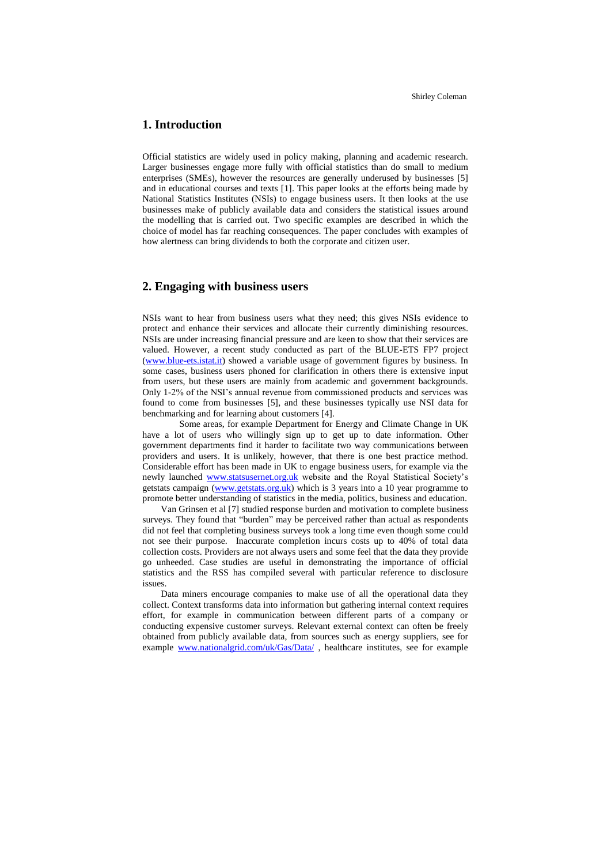# **1. Introduction**

Official statistics are widely used in policy making, planning and academic research. Larger businesses engage more fully with official statistics than do small to medium enterprises (SMEs), however the resources are generally underused by businesses [5] and in educational courses and texts [1]. This paper looks at the efforts being made by National Statistics Institutes (NSIs) to engage business users. It then looks at the use businesses make of publicly available data and considers the statistical issues around the modelling that is carried out. Two specific examples are described in which the choice of model has far reaching consequences. The paper concludes with examples of how alertness can bring dividends to both the corporate and citizen user.

# **2. Engaging with business users**

NSIs want to hear from business users what they need; this gives NSIs evidence to protect and enhance their services and allocate their currently diminishing resources. NSIs are under increasing financial pressure and are keen to show that their services are valued. However, a recent study conducted as part of the BLUE-ETS FP7 project [\(www.blue-ets.istat.it\)](http://www.blue-ets.istat.it/) showed a variable usage of government figures by business. In some cases, business users phoned for clarification in others there is extensive input from users, but these users are mainly from academic and government backgrounds. Only 1-2% of the NSI"s annual revenue from commissioned products and services was found to come from businesses [5], and these businesses typically use NSI data for benchmarking and for learning about customers [4].

Some areas, for example Department for Energy and Climate Change in UK have a lot of users who willingly sign up to get up to date information. Other government departments find it harder to facilitate two way communications between providers and users. It is unlikely, however, that there is one best practice method. Considerable effort has been made in UK to engage business users, for example via the newly launched [www.statsusernet.org.uk](http://www.statsusernet.org.uk/) website and the Royal Statistical Society's getstats campaign [\(www.getstats.org.uk\)](http://www.getstats.org.uk/) which is 3 years into a 10 year programme to promote better understanding of statistics in the media, politics, business and education.

Van Grinsen et al [7] studied response burden and motivation to complete business surveys. They found that "burden" may be perceived rather than actual as respondents did not feel that completing business surveys took a long time even though some could not see their purpose. Inaccurate completion incurs costs up to 40% of total data collection costs. Providers are not always users and some feel that the data they provide go unheeded. Case studies are useful in demonstrating the importance of official statistics and the RSS has compiled several with particular reference to disclosure issues.

Data miners encourage companies to make use of all the operational data they collect. Context transforms data into information but gathering internal context requires effort, for example in communication between different parts of a company or conducting expensive customer surveys. Relevant external context can often be freely obtained from publicly available data, from sources such as energy suppliers, see for example [www.nationalgrid.com/uk/Gas/Data/](http://www.nationalgrid.com/uk/Gas/Data/), healthcare institutes, see for example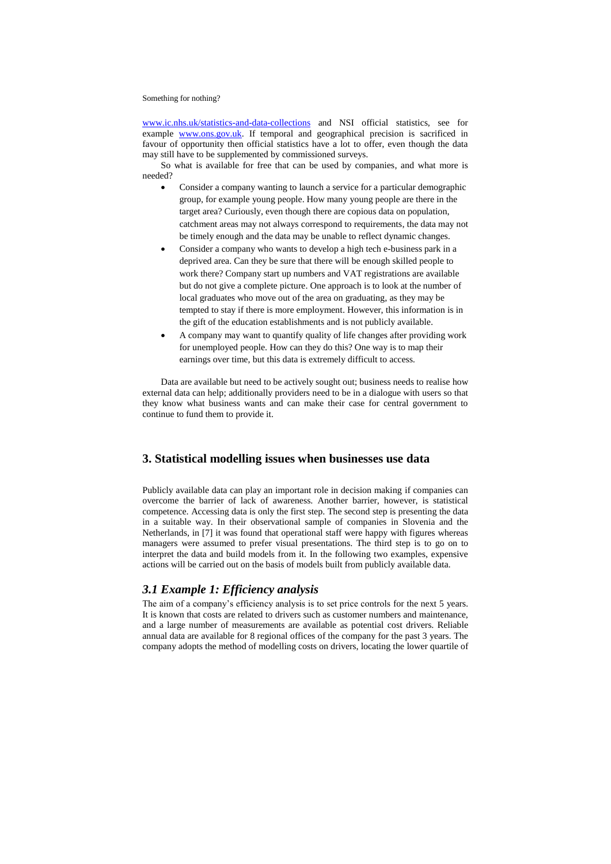[www.ic.nhs.uk/statistics-and-data-collections](http://www.ic.nhs.uk/statistics-and-data-collections) and NSI official statistics, see for example [www.ons.gov.uk.](http://www.ons.gov.uk/) If temporal and geographical precision is sacrificed in favour of opportunity then official statistics have a lot to offer, even though the data may still have to be supplemented by commissioned surveys.

So what is available for free that can be used by companies, and what more is needed?

- Consider a company wanting to launch a service for a particular demographic group, for example young people. How many young people are there in the target area? Curiously, even though there are copious data on population, catchment areas may not always correspond to requirements, the data may not be timely enough and the data may be unable to reflect dynamic changes.
- Consider a company who wants to develop a high tech e-business park in a deprived area. Can they be sure that there will be enough skilled people to work there? Company start up numbers and VAT registrations are available but do not give a complete picture. One approach is to look at the number of local graduates who move out of the area on graduating, as they may be tempted to stay if there is more employment. However, this information is in the gift of the education establishments and is not publicly available.
- A company may want to quantify quality of life changes after providing work for unemployed people. How can they do this? One way is to map their earnings over time, but this data is extremely difficult to access.

Data are available but need to be actively sought out; business needs to realise how external data can help; additionally providers need to be in a dialogue with users so that they know what business wants and can make their case for central government to continue to fund them to provide it.

# **3. Statistical modelling issues when businesses use data**

Publicly available data can play an important role in decision making if companies can overcome the barrier of lack of awareness. Another barrier, however, is statistical competence. Accessing data is only the first step. The second step is presenting the data in a suitable way. In their observational sample of companies in Slovenia and the Netherlands, in [7] it was found that operational staff were happy with figures whereas managers were assumed to prefer visual presentations. The third step is to go on to interpret the data and build models from it. In the following two examples, expensive actions will be carried out on the basis of models built from publicly available data.

## *3.1 Example 1: Efficiency analysis*

The aim of a company's efficiency analysis is to set price controls for the next 5 years. It is known that costs are related to drivers such as customer numbers and maintenance, and a large number of measurements are available as potential cost drivers. Reliable annual data are available for 8 regional offices of the company for the past 3 years. The company adopts the method of modelling costs on drivers, locating the lower quartile of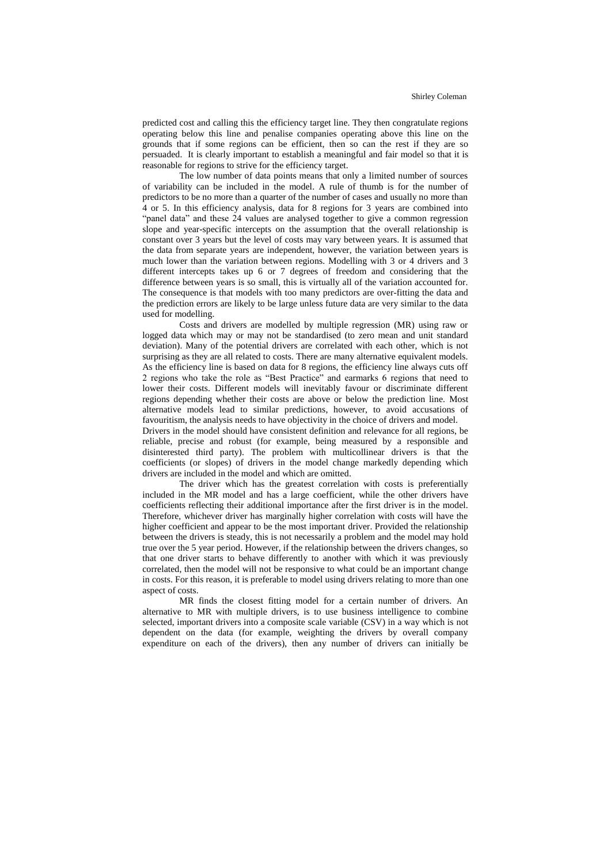predicted cost and calling this the efficiency target line. They then congratulate regions operating below this line and penalise companies operating above this line on the grounds that if some regions can be efficient, then so can the rest if they are so persuaded. It is clearly important to establish a meaningful and fair model so that it is reasonable for regions to strive for the efficiency target.

The low number of data points means that only a limited number of sources of variability can be included in the model. A rule of thumb is for the number of predictors to be no more than a quarter of the number of cases and usually no more than 4 or 5. In this efficiency analysis, data for 8 regions for 3 years are combined into "panel data" and these 24 values are analysed together to give a common regression slope and year-specific intercepts on the assumption that the overall relationship is constant over 3 years but the level of costs may vary between years. It is assumed that the data from separate years are independent, however, the variation between years is much lower than the variation between regions. Modelling with 3 or 4 drivers and 3 different intercepts takes up 6 or 7 degrees of freedom and considering that the difference between years is so small, this is virtually all of the variation accounted for. The consequence is that models with too many predictors are over-fitting the data and the prediction errors are likely to be large unless future data are very similar to the data used for modelling.

Costs and drivers are modelled by multiple regression (MR) using raw or logged data which may or may not be standardised (to zero mean and unit standard deviation). Many of the potential drivers are correlated with each other, which is not surprising as they are all related to costs. There are many alternative equivalent models. As the efficiency line is based on data for 8 regions, the efficiency line always cuts off 2 regions who take the role as "Best Practice" and earmarks 6 regions that need to lower their costs. Different models will inevitably favour or discriminate different regions depending whether their costs are above or below the prediction line. Most alternative models lead to similar predictions, however, to avoid accusations of favouritism, the analysis needs to have objectivity in the choice of drivers and model.

Drivers in the model should have consistent definition and relevance for all regions, be reliable, precise and robust (for example, being measured by a responsible and disinterested third party). The problem with multicollinear drivers is that the coefficients (or slopes) of drivers in the model change markedly depending which drivers are included in the model and which are omitted.

The driver which has the greatest correlation with costs is preferentially included in the MR model and has a large coefficient, while the other drivers have coefficients reflecting their additional importance after the first driver is in the model. Therefore, whichever driver has marginally higher correlation with costs will have the higher coefficient and appear to be the most important driver. Provided the relationship between the drivers is steady, this is not necessarily a problem and the model may hold true over the 5 year period. However, if the relationship between the drivers changes, so that one driver starts to behave differently to another with which it was previously correlated, then the model will not be responsive to what could be an important change in costs. For this reason, it is preferable to model using drivers relating to more than one aspect of costs.

MR finds the closest fitting model for a certain number of drivers. An alternative to MR with multiple drivers, is to use business intelligence to combine selected, important drivers into a composite scale variable (CSV) in a way which is not dependent on the data (for example, weighting the drivers by overall company expenditure on each of the drivers), then any number of drivers can initially be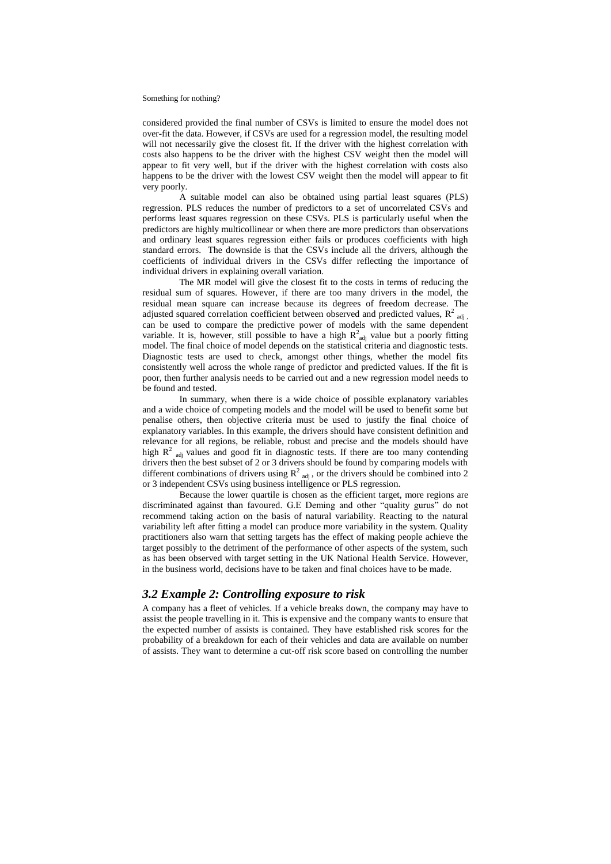considered provided the final number of CSVs is limited to ensure the model does not over-fit the data. However, if CSVs are used for a regression model, the resulting model will not necessarily give the closest fit. If the driver with the highest correlation with costs also happens to be the driver with the highest CSV weight then the model will appear to fit very well, but if the driver with the highest correlation with costs also happens to be the driver with the lowest CSV weight then the model will appear to fit very poorly.

A suitable model can also be obtained using partial least squares (PLS) regression. PLS reduces the number of predictors to a set of uncorrelated CSVs and performs least squares regression on these CSVs. PLS is particularly useful when the predictors are highly multicollinear or when there are more predictors than observations and ordinary least squares regression either fails or produces coefficients with high standard errors. The downside is that the CSVs include all the drivers, although the coefficients of individual drivers in the CSVs differ reflecting the importance of individual drivers in explaining overall variation.

The MR model will give the closest fit to the costs in terms of reducing the residual sum of squares. However, if there are too many drivers in the model, the residual mean square can increase because its degrees of freedom decrease. The adjusted squared correlation coefficient between observed and predicted values,  $R^2$  <sub>adj</sub> can be used to compare the predictive power of models with the same dependent variable. It is, however, still possible to have a high  $R^2_{\text{adj}}$  value but a poorly fitting model. The final choice of model depends on the statistical criteria and diagnostic tests. Diagnostic tests are used to check, amongst other things, whether the model fits consistently well across the whole range of predictor and predicted values. If the fit is poor, then further analysis needs to be carried out and a new regression model needs to be found and tested.

In summary, when there is a wide choice of possible explanatory variables and a wide choice of competing models and the model will be used to benefit some but penalise others, then objective criteria must be used to justify the final choice of explanatory variables. In this example, the drivers should have consistent definition and relevance for all regions, be reliable, robust and precise and the models should have high  $R^2$  <sub>adj</sub> values and good fit in diagnostic tests. If there are too many contending drivers then the best subset of 2 or 3 drivers should be found by comparing models with different combinations of drivers using  $R^2$  adj, or the drivers should be combined into 2 or 3 independent CSVs using business intelligence or PLS regression.

Because the lower quartile is chosen as the efficient target, more regions are discriminated against than favoured. G.E Deming and other "quality gurus" do not recommend taking action on the basis of natural variability. Reacting to the natural variability left after fitting a model can produce more variability in the system. Quality practitioners also warn that setting targets has the effect of making people achieve the target possibly to the detriment of the performance of other aspects of the system, such as has been observed with target setting in the UK National Health Service. However, in the business world, decisions have to be taken and final choices have to be made.

### *3.2 Example 2: Controlling exposure to risk*

A company has a fleet of vehicles. If a vehicle breaks down, the company may have to assist the people travelling in it. This is expensive and the company wants to ensure that the expected number of assists is contained. They have established risk scores for the probability of a breakdown for each of their vehicles and data are available on number of assists. They want to determine a cut-off risk score based on controlling the number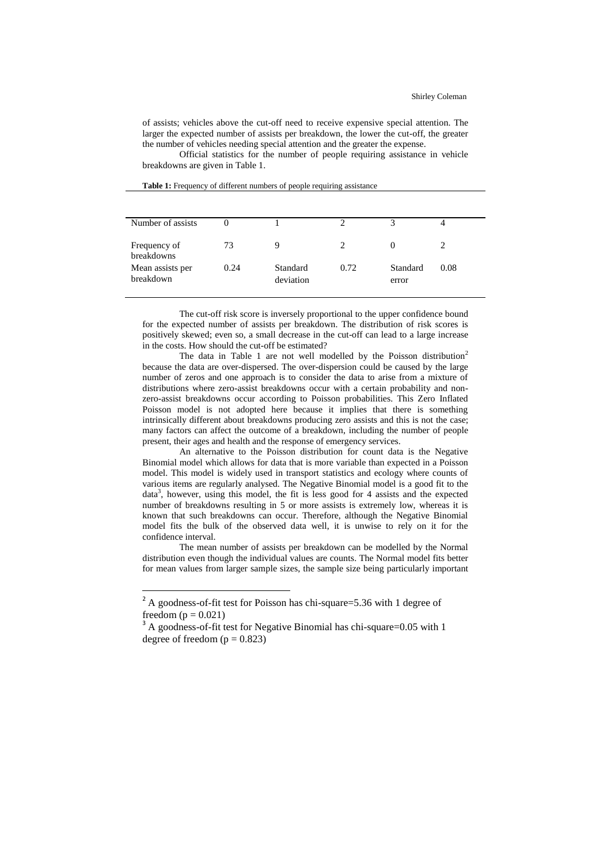of assists; vehicles above the cut-off need to receive expensive special attention. The larger the expected number of assists per breakdown, the lower the cut-off, the greater the number of vehicles needing special attention and the greater the expense.

Official statistics for the number of people requiring assistance in vehicle breakdowns are given in Table 1.

| Number of assists             |      |                       |      |                   |      |
|-------------------------------|------|-----------------------|------|-------------------|------|
| Frequency of<br>breakdowns    | 73   | 9                     |      |                   |      |
| Mean assists per<br>breakdown | 0.24 | Standard<br>deviation | 0.72 | Standard<br>error | 0.08 |

**Table 1:** Frequency of different numbers of people requiring assistance

The cut-off risk score is inversely proportional to the upper confidence bound for the expected number of assists per breakdown. The distribution of risk scores is positively skewed; even so, a small decrease in the cut-off can lead to a large increase in the costs. How should the cut-off be estimated?

The data in Table 1 are not well modelled by the Poisson distribution<sup>2</sup> because the data are over-dispersed. The over-dispersion could be caused by the large number of zeros and one approach is to consider the data to arise from a mixture of distributions where zero-assist breakdowns occur with a certain probability and nonzero-assist breakdowns occur according to Poisson probabilities. This Zero Inflated Poisson model is not adopted here because it implies that there is something intrinsically different about breakdowns producing zero assists and this is not the case; many factors can affect the outcome of a breakdown, including the number of people present, their ages and health and the response of emergency services.

An alternative to the Poisson distribution for count data is the Negative Binomial model which allows for data that is more variable than expected in a Poisson model. This model is widely used in transport statistics and ecology where counts of various items are regularly analysed. The Negative Binomial model is a good fit to the data<sup>3</sup>, however, using this model, the fit is less good for 4 assists and the expected number of breakdowns resulting in 5 or more assists is extremely low, whereas it is known that such breakdowns can occur. Therefore, although the Negative Binomial model fits the bulk of the observed data well, it is unwise to rely on it for the confidence interval.

The mean number of assists per breakdown can be modelled by the Normal distribution even though the individual values are counts. The Normal model fits better for mean values from larger sample sizes, the sample size being particularly important

 $\overline{a}$ 

 $2^2$  A goodness-of-fit test for Poisson has chi-square=5.36 with 1 degree of freedom ( $p = 0.021$ )

<sup>&</sup>lt;sup>3</sup> A goodness-of-fit test for Negative Binomial has chi-square=0.05 with 1 degree of freedom ( $p = 0.823$ )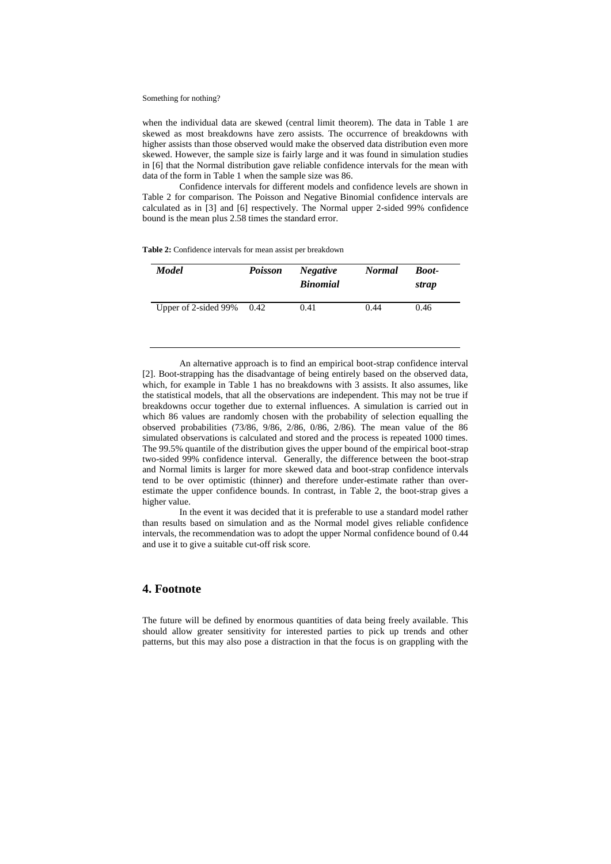when the individual data are skewed (central limit theorem). The data in Table 1 are skewed as most breakdowns have zero assists. The occurrence of breakdowns with higher assists than those observed would make the observed data distribution even more skewed. However, the sample size is fairly large and it was found in simulation studies in [6] that the Normal distribution gave reliable confidence intervals for the mean with data of the form in Table 1 when the sample size was 86.

Confidence intervals for different models and confidence levels are shown in Table 2 for comparison. The Poisson and Negative Binomial confidence intervals are calculated as in [3] and [6] respectively. The Normal upper 2-sided 99% confidence bound is the mean plus 2.58 times the standard error.

**Table 2:** Confidence intervals for mean assist per breakdown

| <b>Model</b>                 | <b>Poisson</b> | <i>Negative</i><br><b>Binomial</b> | <b>Normal</b> | <b>Boot-</b><br>strap |
|------------------------------|----------------|------------------------------------|---------------|-----------------------|
| Upper of 2-sided $99\%$ 0.42 |                | 0.41                               | 0.44          | 0.46                  |

An alternative approach is to find an empirical boot-strap confidence interval [2]. Boot-strapping has the disadvantage of being entirely based on the observed data, which, for example in Table 1 has no breakdowns with 3 assists. It also assumes, like the statistical models, that all the observations are independent. This may not be true if breakdowns occur together due to external influences. A simulation is carried out in which 86 values are randomly chosen with the probability of selection equalling the observed probabilities (73/86, 9/86, 2/86, 0/86, 2/86). The mean value of the 86 simulated observations is calculated and stored and the process is repeated 1000 times. The 99.5% quantile of the distribution gives the upper bound of the empirical boot-strap two-sided 99% confidence interval. Generally, the difference between the boot-strap and Normal limits is larger for more skewed data and boot-strap confidence intervals tend to be over optimistic (thinner) and therefore under-estimate rather than overestimate the upper confidence bounds. In contrast, in Table 2, the boot-strap gives a higher value.

In the event it was decided that it is preferable to use a standard model rather than results based on simulation and as the Normal model gives reliable confidence intervals, the recommendation was to adopt the upper Normal confidence bound of 0.44 and use it to give a suitable cut-off risk score.

### **4. Footnote**

The future will be defined by enormous quantities of data being freely available. This should allow greater sensitivity for interested parties to pick up trends and other patterns, but this may also pose a distraction in that the focus is on grappling with the